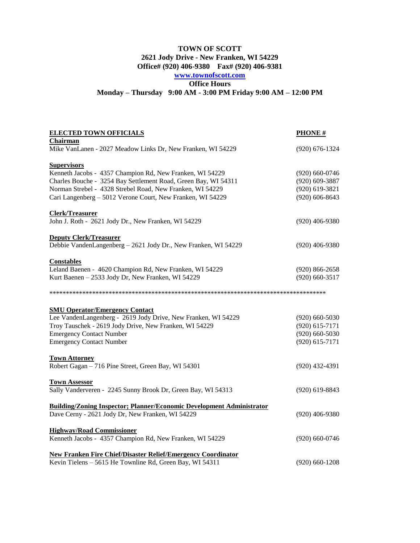## **TOWN OF SCOTT 2621 Jody Drive - New Franken, WI 54229 Office# (920) 406-9380 Fax# (920) 406-9381 [www.townofscott.com](http://www.townofscott.com/) Office Hours Monday – Thursday 9:00 AM - 3:00 PM Friday 9:00 AM – 12:00 PM**

| <b>ELECTED TOWN OFFICIALS</b><br>Chairman                                                                               | <b>PHONE</b> #                       |
|-------------------------------------------------------------------------------------------------------------------------|--------------------------------------|
| Mike VanLanen - 2027 Meadow Links Dr, New Franken, WI 54229                                                             | $(920) 676 - 1324$                   |
| <b>Supervisors</b>                                                                                                      |                                      |
| Kenneth Jacobs - 4357 Champion Rd, New Franken, WI 54229                                                                | $(920)$ 660-0746                     |
| Charles Bouche - 3254 Bay Settlement Road, Green Bay, WI 54311                                                          | $(920)$ 609-3887                     |
| Norman Strebel - 4328 Strebel Road, New Franken, WI 54229<br>Cari Langenberg - 5012 Verone Court, New Franken, WI 54229 | $(920)$ 619-3821<br>$(920)$ 606-8643 |
|                                                                                                                         |                                      |
| <b>Clerk/Treasurer</b>                                                                                                  |                                      |
| John J. Roth - 2621 Jody Dr., New Franken, WI 54229                                                                     | $(920)$ 406-9380                     |
| <b>Deputy Clerk/Treasurer</b>                                                                                           |                                      |
| Debbie VandenLangenberg - 2621 Jody Dr., New Franken, WI 54229                                                          | $(920)$ 406-9380                     |
| <b>Constables</b>                                                                                                       |                                      |
| Leland Baenen - 4620 Champion Rd, New Franken, WI 54229                                                                 | $(920) 866 - 2658$                   |
| Kurt Baenen - 2533 Jody Dr, New Franken, WI 54229                                                                       | $(920)$ 660-3517                     |
|                                                                                                                         |                                      |
| <b>SMU Operator/Emergency Contact</b>                                                                                   |                                      |
| Lee VandenLangenberg - 2619 Jody Drive, New Franken, WI 54229                                                           | $(920)$ 660-5030                     |
| Troy Tauschek - 2619 Jody Drive, New Franken, WI 54229                                                                  | $(920)$ 615-7171                     |
| <b>Emergency Contact Number</b>                                                                                         | $(920)$ 660-5030                     |
| <b>Emergency Contact Number</b>                                                                                         | $(920) 615 - 7171$                   |
| <b>Town Attorney</b>                                                                                                    |                                      |
| Robert Gagan - 716 Pine Street, Green Bay, WI 54301                                                                     | $(920)$ 432-4391                     |
| <b>Town Assessor</b>                                                                                                    |                                      |
| Sally Vanderveren - 2245 Sunny Brook Dr, Green Bay, WI 54313                                                            | $(920)$ 619-8843                     |
| <b>Building/Zoning Inspector; Planner/Economic Development Administrator</b>                                            |                                      |
| Dave Cerny - 2621 Jody Dr, New Franken, WI 54229                                                                        | $(920)$ 406-9380                     |
| <b>Highway/Road Commissioner</b>                                                                                        |                                      |
| Kenneth Jacobs - 4357 Champion Rd, New Franken, WI 54229                                                                | $(920)$ 660-0746                     |
|                                                                                                                         |                                      |
| <b>New Franken Fire Chief/Disaster Relief/Emergency Coordinator</b>                                                     |                                      |
| Kevin Tielens - 5615 He Townline Rd, Green Bay, WI 54311                                                                | (920) 660-1208                       |